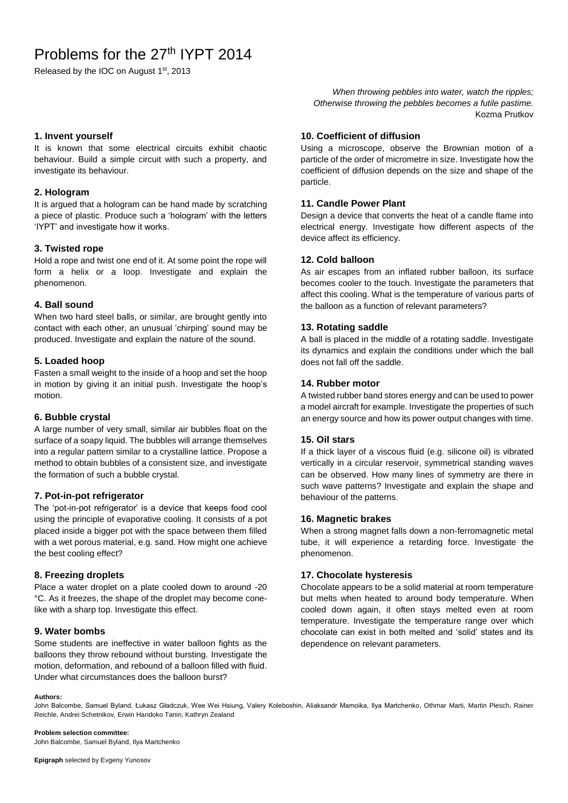# Problems for the 27<sup>th</sup> IYPT 2014

Released by the IOC on August 1st, 2013

*When throwing pebbles into water, watch the ripples; Otherwise throwing the pebbles becomes a futile pastime.* Kozma Prutkov

#### **1. Invent yourself**

It is known that some electrical circuits exhibit chaotic behaviour. Build a simple circuit with such a property, and investigate its behaviour.

#### **2. Hologram**

It is argued that a hologram can be hand made by scratching a piece of plastic. Produce such a 'hologram' with the letters 'IYPT' and investigate how it works.

#### **3. Twisted rope**

Hold a rope and twist one end of it. At some point the rope will form a helix or a loop. Investigate and explain the phenomenon.

#### **4. Ball sound**

When two hard steel balls, or similar, are brought gently into contact with each other, an unusual 'chirping' sound may be produced. Investigate and explain the nature of the sound.

#### **5. Loaded hoop**

Fasten a small weight to the inside of a hoop and set the hoop in motion by giving it an initial push. Investigate the hoop's motion.

#### **6. Bubble crystal**

A large number of very small, similar air bubbles float on the surface of a soapy liquid. The bubbles will arrange themselves into a regular pattern similar to a crystalline lattice. Propose a method to obtain bubbles of a consistent size, and investigate the formation of such a bubble crystal.

#### **7. Pot-in-pot refrigerator**

The 'pot-in-pot refrigerator' is a device that keeps food cool using the principle of evaporative cooling. It consists of a pot placed inside a bigger pot with the space between them filled with a wet porous material, e.g. sand. How might one achieve the best cooling effect?

# **8. Freezing droplets**

Place a water droplet on a plate cooled down to around -20 °C. As it freezes, the shape of the droplet may become conelike with a sharp top. Investigate this effect.

### **9. Water bombs**

Some students are ineffective in water balloon fights as the balloons they throw rebound without bursting. Investigate the motion, deformation, and rebound of a balloon filled with fluid. Under what circumstances does the balloon burst?

### **10. Coefficient of diffusion**

Using a microscope, observe the Brownian motion of a particle of the order of micrometre in size. Investigate how the coefficient of diffusion depends on the size and shape of the particle.

#### **11. Candle Power Plant**

Design a device that converts the heat of a candle flame into electrical energy. Investigate how different aspects of the device affect its efficiency.

# **12. Cold balloon**

As air escapes from an inflated rubber balloon, its surface becomes cooler to the touch. Investigate the parameters that affect this cooling. What is the temperature of various parts of the balloon as a function of relevant parameters?

# **13. Rotating saddle**

A ball is placed in the middle of a rotating saddle. Investigate its dynamics and explain the conditions under which the ball does not fall off the saddle.

# **14. Rubber motor**

A twisted rubber band stores energy and can be used to power a model aircraft for example. Investigate the properties of such an energy source and how its power output changes with time.

#### **15. Oil stars**

If a thick layer of a viscous fluid (e.g. silicone oil) is vibrated vertically in a circular reservoir, symmetrical standing waves can be observed. How many lines of symmetry are there in such wave patterns? Investigate and explain the shape and behaviour of the patterns.

#### **16. Magnetic brakes**

When a strong magnet falls down a non-ferromagnetic metal tube, it will experience a retarding force. Investigate the phenomenon.

# **17. Chocolate hysteresis**

Chocolate appears to be a solid material at room temperature but melts when heated to around body temperature. When cooled down again, it often stays melted even at room temperature. Investigate the temperature range over which chocolate can exist in both melted and 'solid' states and its dependence on relevant parameters.

#### **Authors:**

John Balcombe, Samuel Byland, Łukasz Gładczuk, Wee Wei Hsiung, Valery Koleboshin, Aliaksandr Mamoika, Ilya Martchenko, Othmar Marti, Martin Plesch, Rainer Reichle, Andrei Schetnikov, Erwin Handoko Tanin, Kathryn Zealand

**Problem selection committee:** John Balcombe, Samuel Byland, Ilya Martchenko